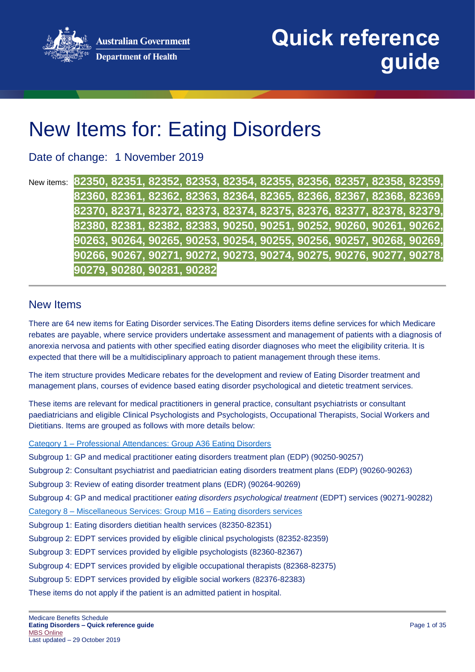**Australian Government Department of Health** 



# New Items for: Eating Disorders

Date of change: 1 November 2019

New items: **82350, 82351, 82352, 82353, 82354, 82355, 82356, 82357, 82358, 82359, 82360, 82361, 82362, 82363, 82364, 82365, 82366, 82367, 82368, 82369, 82370, 82371, 82372, 82373, 82374, 82375, 82376, 82377, 82378, 82379, 82380, 82381, 82382, 82383, 90250, 90251, 90252, 90260, 90261, 90262, 90263, 90264, 90265, 90253, 90254, 90255, 90256, 90257, 90268, 90269, 90266, 90267, 90271, 90272, 90273, 90274, 90275, 90276, 90277, 90278, 90279, 90280, 90281, 90282**

#### New Items

There are 64 new items for Eating Disorder services.The Eating Disorders items define services for which Medicare rebates are payable, where service providers undertake assessment and management of patients with a diagnosis of anorexia nervosa and patients with other specified eating disorder diagnoses who meet the eligibility criteria. It is expected that there will be a multidisciplinary approach to patient management through these items.

The item structure provides Medicare rebates for the development and review of Eating Disorder treatment and management plans, courses of evidence based eating disorder psychological and dietetic treatment services.

These items are relevant for medical practitioners in general practice, consultant psychiatrists or consultant paediatricians and eligible Clinical Psychologists and Psychologists, Occupational Therapists, Social Workers and Dietitians. Items are grouped as follows with more details below:

Category 1 – [Professional Attendances: Group A36 Eating Disorders](#page-4-0)

Subgroup 1: GP and medical practitioner eating disorders treatment plan (EDP) (90250-90257)

Subgroup 2: Consultant psychiatrist and paediatrician eating disorders treatment plans (EDP) (90260-90263)

Subgroup 3: Review of eating disorder treatment plans (EDR) (90264-90269)

Subgroup 4: GP and medical practitioner *eating disorders psychological treatment* (EDPT) services (90271-90282)

Category 8 – [Miscellaneous Services: Group M16 –](#page-20-0) Eating disorders services

Subgroup 1: Eating disorders dietitian health services (82350-82351)

Subgroup 2: EDPT services provided by eligible clinical psychologists (82352-82359)

Subgroup 3: EDPT services provided by eligible psychologists (82360-82367)

Subgroup 4: EDPT services provided by eligible occupational therapists (82368-82375)

Subgroup 5: EDPT services provided by eligible social workers (82376-82383)

These items do not apply if the patient is an admitted patient in hospital.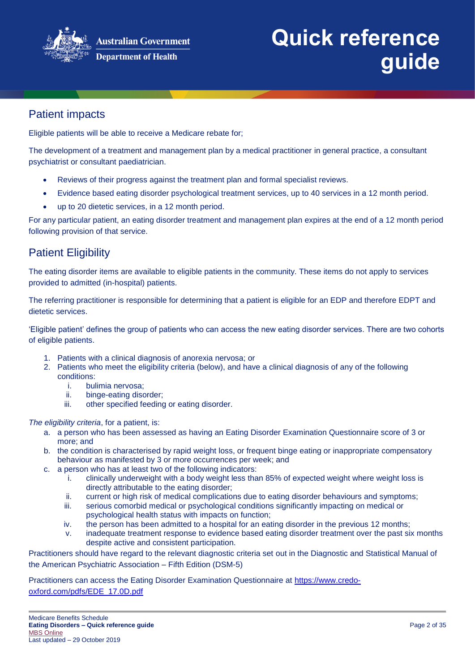

# Patient impacts

Eligible patients will be able to receive a Medicare rebate for;

The development of a treatment and management plan by a medical practitioner in general practice, a consultant psychiatrist or consultant paediatrician.

- Reviews of their progress against the treatment plan and formal specialist reviews.
- Evidence based eating disorder psychological treatment services, up to 40 services in a 12 month period.
- up to 20 dietetic services, in a 12 month period.

For any particular patient, an eating disorder treatment and management plan expires at the end of a 12 month period following provision of that service.

# Patient Eligibility

The eating disorder items are available to eligible patients in the community. These items do not apply to services provided to admitted (in-hospital) patients.

The referring practitioner is responsible for determining that a patient is eligible for an EDP and therefore EDPT and dietetic services.

'Eligible patient' defines the group of patients who can access the new eating disorder services. There are two cohorts of eligible patients.

- 1. Patients with a clinical diagnosis of anorexia nervosa; or
- 2. Patients who meet the eligibility criteria (below), and have a clinical diagnosis of any of the following conditions:
	- i. bulimia nervosa;
	- ii. binge-eating disorder;
	- iii. other specified feeding or eating disorder.

#### *The eligibility criteria*, for a patient, is:

- a. a person who has been assessed as having an Eating Disorder Examination Questionnaire score of 3 or more; and
- b. the condition is characterised by rapid weight loss, or frequent binge eating or inappropriate compensatory behaviour as manifested by 3 or more occurrences per week; and
- c. a person who has at least two of the following indicators:
	- i. clinically underweight with a body weight less than 85% of expected weight where weight loss is directly attributable to the eating disorder;
	- ii. current or high risk of medical complications due to eating disorder behaviours and symptoms;
	- iii. serious comorbid medical or psychological conditions significantly impacting on medical or psychological health status with impacts on function;
	- iv. the person has been admitted to a hospital for an eating disorder in the previous 12 months;
	- v. inadequate treatment response to evidence based eating disorder treatment over the past six months despite active and consistent participation.

Practitioners should have regard to the relevant diagnostic criteria set out in the Diagnostic and Statistical Manual of the American Psychiatric Association – Fifth Edition (DSM-5)

Practitioners can access the Eating Disorder Examination Questionnaire at [https://www.credo](https://www.credo-oxford.com/pdfs/EDE_17.0D.pdf)[oxford.com/pdfs/EDE\\_17.0D.pdf](https://www.credo-oxford.com/pdfs/EDE_17.0D.pdf)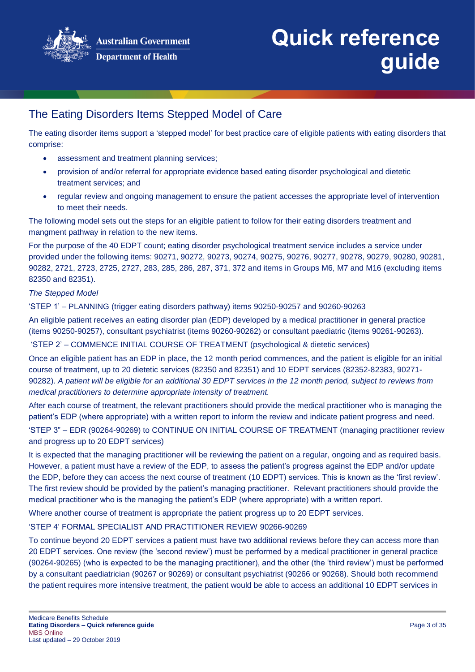

# The Eating Disorders Items Stepped Model of Care

The eating disorder items support a 'stepped model' for best practice care of eligible patients with eating disorders that comprise:

- assessment and treatment planning services;
- provision of and/or referral for appropriate evidence based eating disorder psychological and dietetic treatment services; and
- regular review and ongoing management to ensure the patient accesses the appropriate level of intervention to meet their needs.

The following model sets out the steps for an eligible patient to follow for their eating disorders treatment and mangment pathway in relation to the new items.

For the purpose of the 40 EDPT count; eating disorder psychological treatment service includes a service under provided under the following items: 90271, 90272, 90273, 90274, 90275, 90276, 90277, 90278, 90279, 90280, 90281, 90282, 2721, 2723, 2725, 2727, 283, 285, 286, 287, 371, 372 and items in Groups M6, M7 and M16 (excluding items 82350 and 82351).

#### *The Stepped Model*

'STEP 1' – PLANNING (trigger eating disorders pathway) items 90250-90257 and 90260-90263

An eligible patient receives an eating disorder plan (EDP) developed by a medical practitioner in general practice (items 90250-90257), consultant psychiatrist (items 90260-90262) or consultant paediatric (items 90261-90263).

'STEP 2' – COMMENCE INITIAL COURSE OF TREATMENT (psychological & dietetic services)

Once an eligible patient has an EDP in place, the 12 month period commences, and the patient is eligible for an initial course of treatment, up to 20 dietetic services (82350 and 82351) and 10 EDPT services (82352-82383, 90271- 90282). *A patient will be eligible for an additional 30 EDPT services in the 12 month period, subject to reviews from medical practitioners to determine appropriate intensity of treatment.*

After each course of treatment, the relevant practitioners should provide the medical practitioner who is managing the patient's EDP (where appropriate) with a written report to inform the review and indicate patient progress and need.

'STEP 3" – EDR (90264-90269) to CONTINUE ON INITIAL COURSE OF TREATMENT (managing practitioner review and progress up to 20 EDPT services)

It is expected that the managing practitioner will be reviewing the patient on a regular, ongoing and as required basis. However, a patient must have a review of the EDP, to assess the patient's progress against the EDP and/or update the EDP, before they can access the next course of treatment (10 EDPT) services. This is known as the 'first review'. The first review should be provided by the patient's managing practitioner. Relevant practitioners should provide the medical practitioner who is the managing the patient's EDP (where appropriate) with a written report.

Where another course of treatment is appropriate the patient progress up to 20 EDPT services.

'STEP 4' FORMAL SPECIALIST AND PRACTITIONER REVIEW 90266-90269

To continue beyond 20 EDPT services a patient must have two additional reviews before they can access more than 20 EDPT services. One review (the 'second review') must be performed by a medical practitioner in general practice (90264-90265) (who is expected to be the managing practitioner), and the other (the 'third review') must be performed by a consultant paediatrician (90267 or 90269) or consultant psychiatrist (90266 or 90268). Should both recommend the patient requires more intensive treatment, the patient would be able to access an additional 10 EDPT services in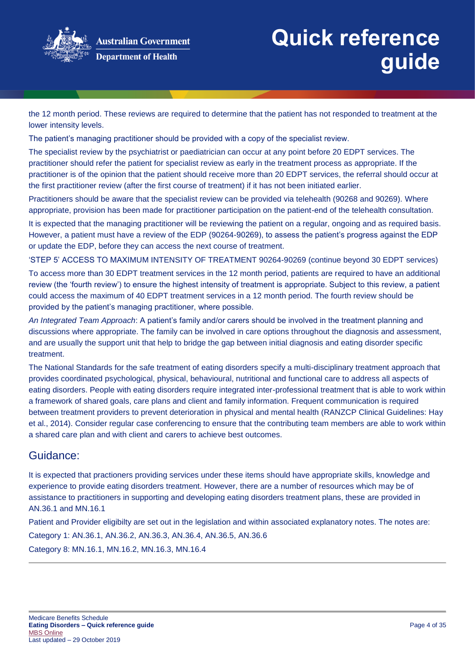

the 12 month period. These reviews are required to determine that the patient has not responded to treatment at the lower intensity levels.

The patient's managing practitioner should be provided with a copy of the specialist review.

The specialist review by the psychiatrist or paediatrician can occur at any point before 20 EDPT services. The practitioner should refer the patient for specialist review as early in the treatment process as appropriate. If the practitioner is of the opinion that the patient should receive more than 20 EDPT services, the referral should occur at the first practitioner review (after the first course of treatment) if it has not been initiated earlier.

Practitioners should be aware that the specialist review can be provided via telehealth (90268 and 90269). Where appropriate, provision has been made for practitioner participation on the patient-end of the telehealth consultation.

It is expected that the managing practitioner will be reviewing the patient on a regular, ongoing and as required basis. However, a patient must have a review of the EDP (90264-90269), to assess the patient's progress against the EDP or update the EDP, before they can access the next course of treatment.

'STEP 5' ACCESS TO MAXIMUM INTENSITY OF TREATMENT 90264-90269 (continue beyond 30 EDPT services)

To access more than 30 EDPT treatment services in the 12 month period, patients are required to have an additional review (the 'fourth review') to ensure the highest intensity of treatment is appropriate. Subject to this review, a patient could access the maximum of 40 EDPT treatment services in a 12 month period. The fourth review should be provided by the patient's managing practitioner, where possible.

*An Integrated Team Approach*: A patient's family and/or carers should be involved in the treatment planning and discussions where appropriate. The family can be involved in care options throughout the diagnosis and assessment, and are usually the support unit that help to bridge the gap between initial diagnosis and eating disorder specific treatment.

The National Standards for the safe treatment of eating disorders specify a multi-disciplinary treatment approach that provides coordinated psychological, physical, behavioural, nutritional and functional care to address all aspects of eating disorders. People with eating disorders require integrated inter-professional treatment that is able to work within a framework of shared goals, care plans and client and family information. Frequent communication is required between treatment providers to prevent deterioration in physical and mental health (RANZCP Clinical Guidelines: Hay et al., 2014). Consider regular case conferencing to ensure that the contributing team members are able to work within a shared care plan and with client and carers to achieve best outcomes.

#### Guidance:

It is expected that practioners providing services under these items should have appropriate skills, knowledge and experience to provide eating disorders treatment. However, there are a number of resources which may be of assistance to practitioners in supporting and developing eating disorders treatment plans, these are provided in AN.36.1 and MN.16.1

Patient and Provider eligibilty are set out in the legislation and within associated explanatory notes. The notes are: Category 1: AN.36.1, AN.36.2, AN.36.3, AN.36.4, AN.36.5, AN.36.6 Category 8: MN.16.1, MN.16.2, MN.16.3, MN.16.4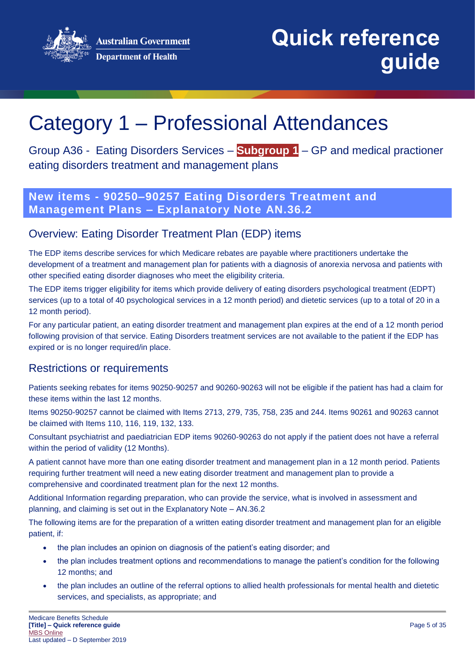**Australian Government Department of Health** 



**Quick reference guide**

# <span id="page-4-0"></span>Category 1 – Professional Attendances

Group A36 - Eating Disorders Services – **Subgroup 1** – GP and medical practioner eating disorders treatment and management plans

### **New items - 90250–90257 Eating Disorders Treatment and Management Plans – Explanatory Note AN.36.2**

### Overview: Eating Disorder Treatment Plan (EDP) items

The EDP items describe services for which Medicare rebates are payable where practitioners undertake the development of a treatment and management plan for patients with a diagnosis of anorexia nervosa and patients with other specified eating disorder diagnoses who meet the eligibility criteria.

The EDP items trigger eligibility for items which provide delivery of eating disorders psychological treatment (EDPT) services (up to a total of 40 psychological services in a 12 month period) and dietetic services (up to a total of 20 in a 12 month period).

For any particular patient, an eating disorder treatment and management plan expires at the end of a 12 month period following provision of that service. Eating Disorders treatment services are not available to the patient if the EDP has expired or is no longer required/in place.

### Restrictions or requirements

Patients seeking rebates for items 90250-90257 and 90260-90263 will not be eligible if the patient has had a claim for these items within the last 12 months.

Items 90250-90257 cannot be claimed with Items 2713, 279, 735, 758, 235 and 244. Items 90261 and 90263 cannot be claimed with Items 110, 116, 119, 132, 133.

Consultant psychiatrist and paediatrician EDP items 90260-90263 do not apply if the patient does not have a referral within the period of validity (12 Months).

A patient cannot have more than one eating disorder treatment and management plan in a 12 month period. Patients requiring further treatment will need a new eating disorder treatment and management plan to provide a comprehensive and coordinated treatment plan for the next 12 months.

Additional Information regarding preparation, who can provide the service, what is involved in assessment and planning, and claiming is set out in the Explanatory Note – AN.36.2

The following items are for the preparation of a written eating disorder treatment and management plan for an eligible patient, if:

- the plan includes an opinion on diagnosis of the patient's eating disorder; and
- the plan includes treatment options and recommendations to manage the patient's condition for the following 12 months; and
- the plan includes an outline of the referral options to allied health professionals for mental health and dietetic services, and specialists, as appropriate; and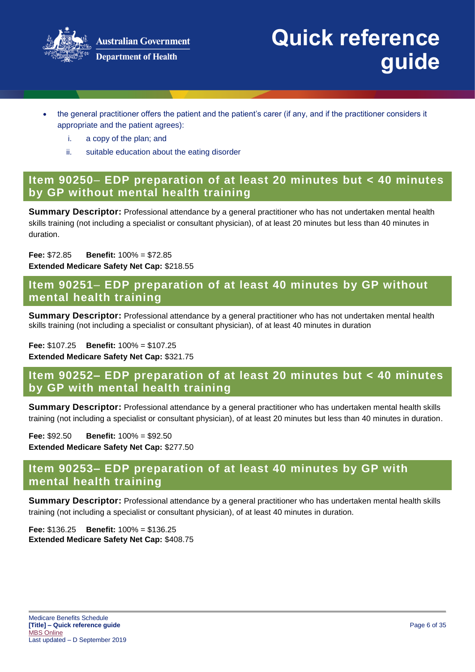

- the general practitioner offers the patient and the patient's carer (if any, and if the practitioner considers it appropriate and the patient agrees):
	- i. a copy of the plan; and
	- ii. suitable education about the eating disorder

### **Item 90250**– **EDP preparation of at least 20 minutes but < 40 minutes by GP without mental health training**

**Summary Descriptor:** Professional attendance by a general practitioner who has not undertaken mental health skills training (not including a specialist or consultant physician), of at least 20 minutes but less than 40 minutes in duration.

#### **Fee:** \$72.85 **Benefit:** 100% = \$72.85 **Extended Medicare Safety Net Cap:** \$218.55

### **Item 90251**– **EDP preparation of at least 40 minutes by GP without mental health training**

**Summary Descriptor:** Professional attendance by a general practitioner who has not undertaken mental health skills training (not including a specialist or consultant physician), of at least 40 minutes in duration

#### **Fee:** \$107.25 **Benefit:** 100% = \$107.25

**Extended Medicare Safety Net Cap:** \$321.75

### **Item 90252– EDP preparation of at least 20 minutes but < 40 minutes by GP with mental health training**

**Summary Descriptor:** Professional attendance by a general practitioner who has undertaken mental health skills training (not including a specialist or consultant physician), of at least 20 minutes but less than 40 minutes in duration.

**Fee:** \$92.50 **Benefit:** 100% = \$92.50 **Extended Medicare Safety Net Cap:** \$277.50

### **Item 90253– EDP preparation of at least 40 minutes by GP with mental health training**

**Summary Descriptor:** Professional attendance by a general practitioner who has undertaken mental health skills training (not including a specialist or consultant physician), of at least 40 minutes in duration.

**Fee:** \$136.25 **Benefit:** 100% = \$136.25 **Extended Medicare Safety Net Cap:** \$408.75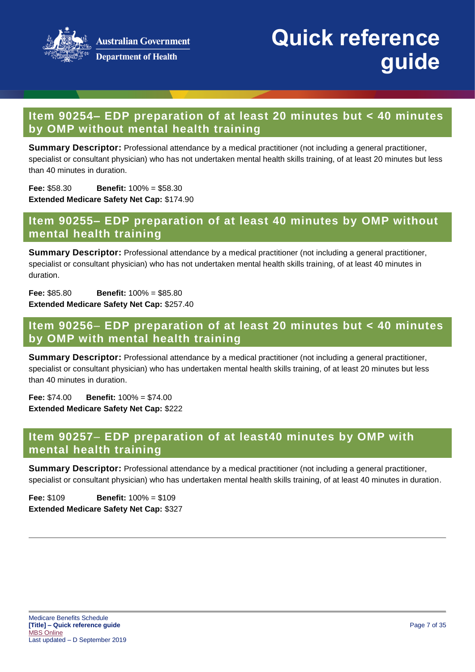

## **Item 90254– EDP preparation of at least 20 minutes but < 40 minutes by OMP without mental health training**

**Summary Descriptor:** Professional attendance by a medical practitioner (not including a general practitioner, specialist or consultant physician) who has not undertaken mental health skills training, of at least 20 minutes but less than 40 minutes in duration.

**Fee:** \$58.30 **Benefit:** 100% = \$58.30 **Extended Medicare Safety Net Cap:** \$174.90

### **Item 90255– EDP preparation of at least 40 minutes by OMP without mental health training**

**Summary Descriptor:** Professional attendance by a medical practitioner (not including a general practitioner, specialist or consultant physician) who has not undertaken mental health skills training, of at least 40 minutes in duration.

**Fee:** \$85.80 **Benefit:** 100% = \$85.80 **Extended Medicare Safety Net Cap:** \$257.40

### **Item 90256**– **EDP preparation of at least 20 minutes but < 40 minutes by OMP with mental health training**

**Summary Descriptor:** Professional attendance by a medical practitioner (not including a general practitioner, specialist or consultant physician) who has undertaken mental health skills training, of at least 20 minutes but less than 40 minutes in duration.

**Fee:** \$74.00 **Benefit:** 100% = \$74.00 **Extended Medicare Safety Net Cap:** \$222

### **Item 90257**– **EDP preparation of at least40 minutes by OMP with mental health training**

**Summary Descriptor:** Professional attendance by a medical practitioner (not including a general practitioner, specialist or consultant physician) who has undertaken mental health skills training, of at least 40 minutes in duration.

**Fee:** \$109 **Benefit:** 100% = \$109 **Extended Medicare Safety Net Cap:** \$327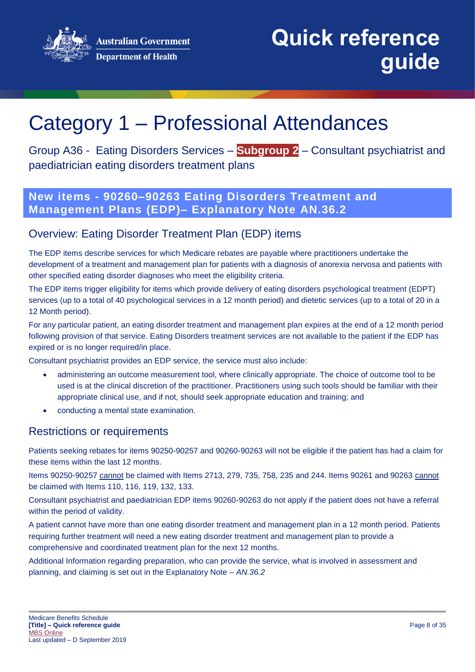**Australian Government Department of Health** 



**Quick reference guide**

# Category 1 – Professional Attendances

Group A36 - Eating Disorders Services – **Subgroup 2** – Consultant psychiatrist and paediatrician eating disorders treatment plans

# **New items - 90260–90263 Eating Disorders Treatment and Management Plans (EDP)– Explanatory Note AN.36.2**

### Overview: Eating Disorder Treatment Plan (EDP) items

The EDP items describe services for which Medicare rebates are payable where practitioners undertake the development of a treatment and management plan for patients with a diagnosis of anorexia nervosa and patients with other specified eating disorder diagnoses who meet the eligibility criteria.

The EDP items trigger eligibility for items which provide delivery of eating disorders psychological treatment (EDPT) services (up to a total of 40 psychological services in a 12 month period) and dietetic services (up to a total of 20 in a 12 Month period).

For any particular patient, an eating disorder treatment and management plan expires at the end of a 12 month period following provision of that service. Eating Disorders treatment services are not available to the patient if the EDP has expired or is no longer required/in place.

Consultant psychiatrist provides an EDP service, the service must also include:

- administering an outcome measurement tool, where clinically appropriate. The choice of outcome tool to be used is at the clinical discretion of the practitioner. Practitioners using such tools should be familiar with their appropriate clinical use, and if not, should seek appropriate education and training; and
- conducting a mental state examination.

### Restrictions or requirements

Patients seeking rebates for items 90250-90257 and 90260-90263 will not be eligible if the patient has had a claim for these items within the last 12 months.

Items 90250-90257 cannot be claimed with Items 2713, 279, 735, 758, 235 and 244. Items 90261 and 90263 cannot be claimed with Items 110, 116, 119, 132, 133.

Consultant psychiatrist and paediatrician EDP items 90260-90263 do not apply if the patient does not have a referral within the period of validity.

A patient cannot have more than one eating disorder treatment and management plan in a 12 month period. Patients requiring further treatment will need a new eating disorder treatment and management plan to provide a comprehensive and coordinated treatment plan for the next 12 months.

Additional Information regarding preparation, who can provide the service, what is involved in assessment and planning, and claiming is set out in the Explanatory Note – *AN.36.2*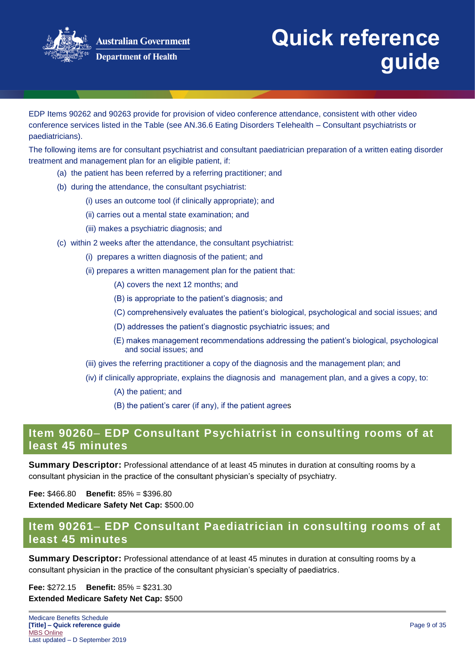

EDP Items 90262 and 90263 provide for provision of video conference attendance, consistent with other video conference services listed in the Table (see AN.36.6 Eating Disorders Telehealth – Consultant psychiatrists or paediatricians).

The following items are for consultant psychiatrist and consultant paediatrician preparation of a written eating disorder treatment and management plan for an eligible patient, if:

- (a) the patient has been referred by a referring practitioner; and
- (b) during the attendance, the consultant psychiatrist:
	- (i) uses an outcome tool (if clinically appropriate); and
	- (ii) carries out a mental state examination; and
	- (iii) makes a psychiatric diagnosis; and
- (c) within 2 weeks after the attendance, the consultant psychiatrist:
	- (i) prepares a written diagnosis of the patient; and
	- (ii) prepares a written management plan for the patient that:
		- (A) covers the next 12 months; and
		- (B) is appropriate to the patient's diagnosis; and
		- (C) comprehensively evaluates the patient's biological, psychological and social issues; and
		- (D) addresses the patient's diagnostic psychiatric issues; and
		- (E) makes management recommendations addressing the patient's biological, psychological and social issues; and
	- (iii) gives the referring practitioner a copy of the diagnosis and the management plan; and
	- (iv) if clinically appropriate, explains the diagnosis and management plan, and a gives a copy, to:
		- (A) the patient; and
		- (B) the patient's carer (if any), if the patient agrees

### **Item 90260**– **EDP Consultant Psychiatrist in consulting rooms of at least 45 minutes**

**Summary Descriptor:** Professional attendance of at least 45 minutes in duration at consulting rooms by a consultant physician in the practice of the consultant physician's specialty of psychiatry.

**Fee:** \$466.80 **Benefit:** 85% = \$396.80 **Extended Medicare Safety Net Cap:** \$500.00

# **Item 90261**– **EDP Consultant Paediatrician in consulting rooms of at least 45 minutes**

**Summary Descriptor:** Professional attendance of at least 45 minutes in duration at consulting rooms by a consultant physician in the practice of the consultant physician's specialty of paediatrics.

**Fee:** \$272.15 **Benefit:** 85% = \$231.30 **Extended Medicare Safety Net Cap:** \$500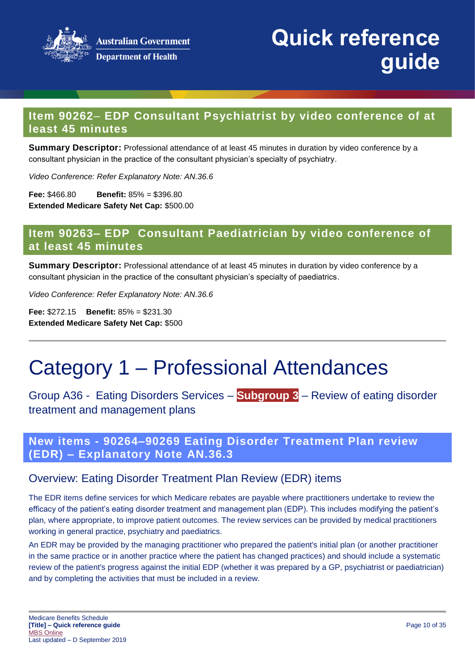

### **Item 90262**– **EDP Consultant Psychiatrist by video conference of at least 45 minutes**

**Summary Descriptor:** Professional attendance of at least 45 minutes in duration by video conference by a consultant physician in the practice of the consultant physician's specialty of psychiatry.

*Video Conference: Refer Explanatory Note: AN.36.6* 

**Fee:** \$466.80 **Benefit:** 85% = \$396.80 **Extended Medicare Safety Net Cap:** \$500.00

### **Item 90263– EDP Consultant Paediatrician by video conference of at least 45 minutes**

**Summary Descriptor:** Professional attendance of at least 45 minutes in duration by video conference by a consultant physician in the practice of the consultant physician's specialty of paediatrics.

*Video Conference: Refer Explanatory Note: AN.36.6*

**Fee:** \$272.15 **Benefit:** 85% = \$231.30 **Extended Medicare Safety Net Cap:** \$500

# Category 1 – Professional Attendances

Group A36 - Eating Disorders Services – **Subgroup 3** – Review of eating disorder treatment and management plans

**New items - 90264–90269 Eating Disorder Treatment Plan review (EDR) – Explanatory Note AN.36.3**

### Overview: Eating Disorder Treatment Plan Review (EDR) items

The EDR items define services for which Medicare rebates are payable where practitioners undertake to review the efficacy of the patient's eating disorder treatment and management plan (EDP). This includes modifying the patient's plan, where appropriate, to improve patient outcomes. The review services can be provided by medical practitioners working in general practice, psychiatry and paediatrics.

An EDR may be provided by the managing practitioner who prepared the patient's initial plan (or another practitioner in the same practice or in another practice where the patient has changed practices) and should include a systematic review of the patient's progress against the initial EDP (whether it was prepared by a GP, psychiatrist or paediatrician) and by completing the activities that must be included in a review.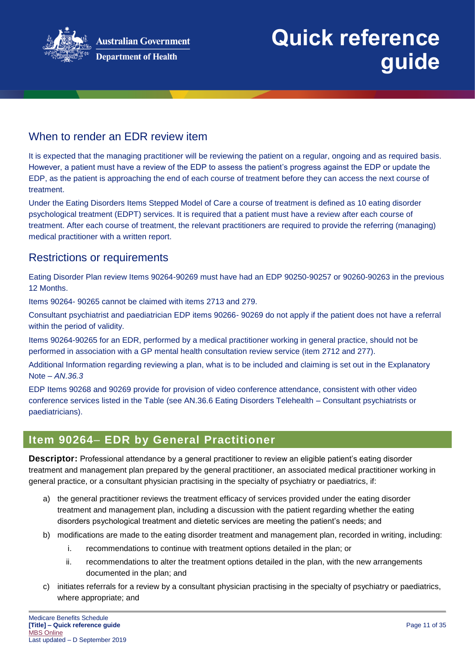

## When to render an FDR review item

It is expected that the managing practitioner will be reviewing the patient on a regular, ongoing and as required basis. However, a patient must have a review of the EDP to assess the patient's progress against the EDP or update the EDP, as the patient is approaching the end of each course of treatment before they can access the next course of treatment.

Under the Eating Disorders Items Stepped Model of Care a course of treatment is defined as 10 eating disorder psychological treatment (EDPT) services. It is required that a patient must have a review after each course of treatment. After each course of treatment, the relevant practitioners are required to provide the referring (managing) medical practitioner with a written report.

### Restrictions or requirements

Eating Disorder Plan review Items 90264-90269 must have had an EDP 90250-90257 or 90260-90263 in the previous 12 Months.

Items 90264- 90265 cannot be claimed with items 2713 and 279.

Consultant psychiatrist and paediatrician EDP items 90266- 90269 do not apply if the patient does not have a referral within the period of validity.

Items 90264-90265 for an EDR, performed by a medical practitioner working in general practice, should not be performed in association with a GP mental health consultation review service (item 2712 and 277).

Additional Information regarding reviewing a plan, what is to be included and claiming is set out in the Explanatory Note – *AN.36.3*

EDP Items 90268 and 90269 provide for provision of video conference attendance, consistent with other video conference services listed in the Table (see AN.36.6 Eating Disorders Telehealth – Consultant psychiatrists or paediatricians).

### **Item 90264**– **EDR by General Practitioner**

**Descriptor:** Professional attendance by a general practitioner to review an eligible patient's eating disorder treatment and management plan prepared by the general practitioner, an associated medical practitioner working in general practice, or a consultant physician practising in the specialty of psychiatry or paediatrics, if:

- a) the general practitioner reviews the treatment efficacy of services provided under the eating disorder treatment and management plan, including a discussion with the patient regarding whether the eating disorders psychological treatment and dietetic services are meeting the patient's needs; and
- b) modifications are made to the eating disorder treatment and management plan, recorded in writing, including:
	- i. recommendations to continue with treatment options detailed in the plan; or
	- ii. recommendations to alter the treatment options detailed in the plan, with the new arrangements documented in the plan; and
- c) initiates referrals for a review by a consultant physician practising in the specialty of psychiatry or paediatrics, where appropriate; and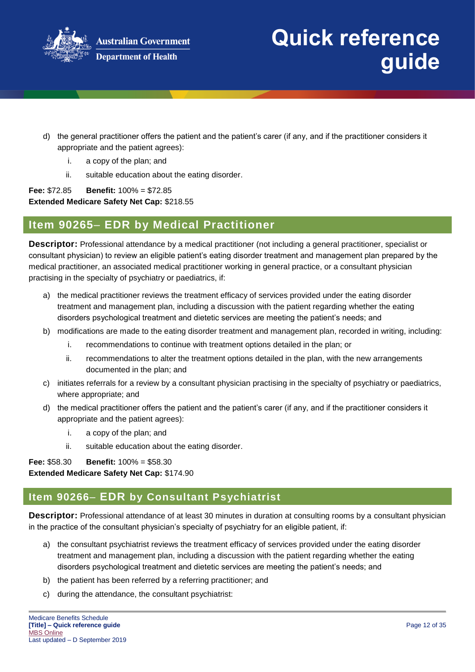

- d) the general practitioner offers the patient and the patient's carer (if any, and if the practitioner considers it appropriate and the patient agrees):
	- i. a copy of the plan; and
	- ii. suitable education about the eating disorder.

**Fee:** \$72.85 **Benefit:** 100% = \$72.85 **Extended Medicare Safety Net Cap:** \$218.55

### **Item 90265**– **EDR by Medical Practitioner**

**Descriptor:** Professional attendance by a medical practitioner (not including a general practitioner, specialist or consultant physician) to review an eligible patient's eating disorder treatment and management plan prepared by the medical practitioner, an associated medical practitioner working in general practice, or a consultant physician practising in the specialty of psychiatry or paediatrics, if:

- a) the medical practitioner reviews the treatment efficacy of services provided under the eating disorder treatment and management plan, including a discussion with the patient regarding whether the eating disorders psychological treatment and dietetic services are meeting the patient's needs; and
- b) modifications are made to the eating disorder treatment and management plan, recorded in writing, including:
	- i. recommendations to continue with treatment options detailed in the plan; or
	- ii. recommendations to alter the treatment options detailed in the plan, with the new arrangements documented in the plan; and
- c) initiates referrals for a review by a consultant physician practising in the specialty of psychiatry or paediatrics, where appropriate; and
- d) the medical practitioner offers the patient and the patient's carer (if any, and if the practitioner considers it appropriate and the patient agrees):
	- i. a copy of the plan; and
	- ii. suitable education about the eating disorder.

#### **Fee:** \$58.30 **Benefit:** 100% = \$58.30

**Extended Medicare Safety Net Cap:** \$174.90

# **Item 90266**– **EDR by Consultant Psychiatrist**

**Descriptor:** Professional attendance of at least 30 minutes in duration at consulting rooms by a consultant physician in the practice of the consultant physician's specialty of psychiatry for an eligible patient, if:

- a) the consultant psychiatrist reviews the treatment efficacy of services provided under the eating disorder treatment and management plan, including a discussion with the patient regarding whether the eating disorders psychological treatment and dietetic services are meeting the patient's needs; and
- b) the patient has been referred by a referring practitioner; and
- c) during the attendance, the consultant psychiatrist: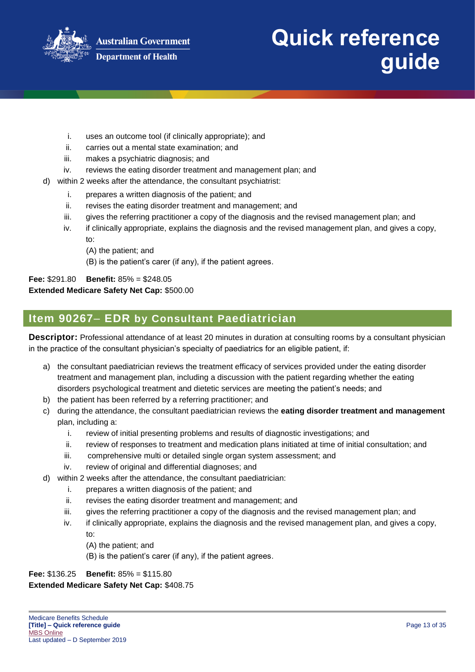

- i. uses an outcome tool (if clinically appropriate); and
- ii. carries out a mental state examination; and
- iii. makes a psychiatric diagnosis; and
- iv. reviews the eating disorder treatment and management plan; and
- d) within 2 weeks after the attendance, the consultant psychiatrist:
	- i. prepares a written diagnosis of the patient; and
	- ii. revises the eating disorder treatment and management; and
	- iii. gives the referring practitioner a copy of the diagnosis and the revised management plan; and
	- iv. if clinically appropriate, explains the diagnosis and the revised management plan, and gives a copy, to:
		- (A) the patient; and
		- (B) is the patient's carer (if any), if the patient agrees.

**Fee:** \$291.80 **Benefit:** 85% = \$248.05 **Extended Medicare Safety Net Cap:** \$500.00

### **Item 90267**– **EDR by Consultant Paediatrician**

**Descriptor:** Professional attendance of at least 20 minutes in duration at consulting rooms by a consultant physician in the practice of the consultant physician's specialty of paediatrics for an eligible patient, if:

- a) the consultant paediatrician reviews the treatment efficacy of services provided under the eating disorder treatment and management plan, including a discussion with the patient regarding whether the eating disorders psychological treatment and dietetic services are meeting the patient's needs; and
- b) the patient has been referred by a referring practitioner; and
- c) during the attendance, the consultant paediatrician reviews the **eating disorder treatment and management**  plan, including a:
	- i. review of initial presenting problems and results of diagnostic investigations; and
	- ii. review of responses to treatment and medication plans initiated at time of initial consultation; and
	- iii. comprehensive multi or detailed single organ system assessment; and
	- iv. review of original and differential diagnoses; and
- d) within 2 weeks after the attendance, the consultant paediatrician:
	- i. prepares a written diagnosis of the patient; and
	- ii. revises the eating disorder treatment and management; and
	- iii. gives the referring practitioner a copy of the diagnosis and the revised management plan; and
	- iv. if clinically appropriate, explains the diagnosis and the revised management plan, and gives a copy, to:
		- (A) the patient; and
		- (B) is the patient's carer (if any), if the patient agrees.

#### **Fee:** \$136.25 **Benefit:** 85% = \$115.80 **Extended Medicare Safety Net Cap:** \$408.75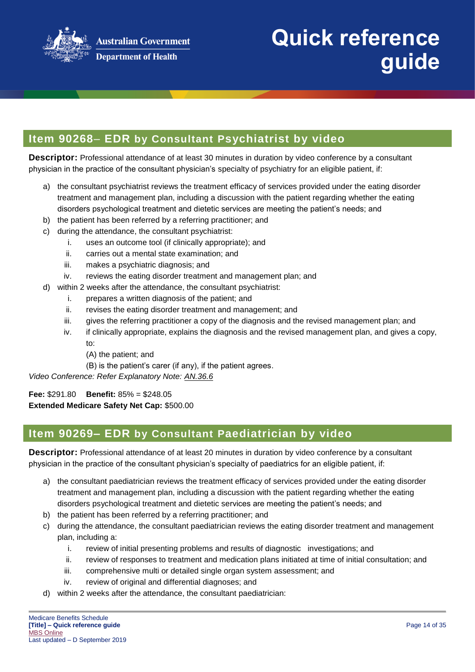

## **Item 90268**– **EDR by Consultant Psychiatrist by video**

**Descriptor:** Professional attendance of at least 30 minutes in duration by video conference by a consultant physician in the practice of the consultant physician's specialty of psychiatry for an eligible patient, if:

- a) the consultant psychiatrist reviews the treatment efficacy of services provided under the eating disorder treatment and management plan, including a discussion with the patient regarding whether the eating disorders psychological treatment and dietetic services are meeting the patient's needs; and
- b) the patient has been referred by a referring practitioner; and
- c) during the attendance, the consultant psychiatrist:
	- i. uses an outcome tool (if clinically appropriate); and
	- ii. carries out a mental state examination; and
	- iii. makes a psychiatric diagnosis; and
	- iv. reviews the eating disorder treatment and management plan; and
- d) within 2 weeks after the attendance, the consultant psychiatrist:
	- i. prepares a written diagnosis of the patient; and
	- ii. revises the eating disorder treatment and management; and
	- iii. gives the referring practitioner a copy of the diagnosis and the revised management plan; and
	- iv. if clinically appropriate, explains the diagnosis and the revised management plan, and gives a copy, to:
		- (A) the patient; and
		- (B) is the patient's carer (if any), if the patient agrees.

*Video Conference: Refer Explanatory Note: AN.36.6*

**Fee:** \$291.80 **Benefit:** 85% = \$248.05 **Extended Medicare Safety Net Cap:** \$500.00

### **Item 90269– EDR by Consultant Paediatrician by video**

**Descriptor:** Professional attendance of at least 20 minutes in duration by video conference by a consultant physician in the practice of the consultant physician's specialty of paediatrics for an eligible patient, if:

- a) the consultant paediatrician reviews the treatment efficacy of services provided under the eating disorder treatment and management plan, including a discussion with the patient regarding whether the eating disorders psychological treatment and dietetic services are meeting the patient's needs; and
- b) the patient has been referred by a referring practitioner; and
- c) during the attendance, the consultant paediatrician reviews the eating disorder treatment and management plan, including a:
	- i. review of initial presenting problems and results of diagnostic investigations; and
	- ii. review of responses to treatment and medication plans initiated at time of initial consultation; and
	- iii. comprehensive multi or detailed single organ system assessment; and
	- iv. review of original and differential diagnoses; and
- d) within 2 weeks after the attendance, the consultant paediatrician: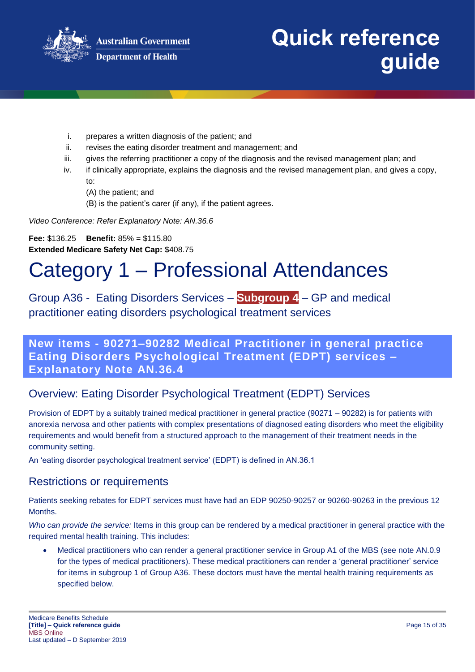

- i. prepares a written diagnosis of the patient; and
- ii. revises the eating disorder treatment and management; and
- iii. gives the referring practitioner a copy of the diagnosis and the revised management plan; and
- iv. if clinically appropriate, explains the diagnosis and the revised management plan, and gives a copy, to:
	- (A) the patient; and
	- (B) is the patient's carer (if any), if the patient agrees.

*Video Conference: Refer Explanatory Note: AN.36.6* 

**Fee:** \$136.25 **Benefit:** 85% = \$115.80 **Extended Medicare Safety Net Cap:** \$408.75

# Category 1 – Professional Attendances

# Group A36 - Eating Disorders Services – **Subgroup 4** – GP and medical practitioner eating disorders psychological treatment services

### **New items - 90271–90282 Medical Practitioner in general practice Eating Disorders Psychological Treatment (EDPT) services – Explanatory Note AN.36.4**

# Overview: Eating Disorder Psychological Treatment (EDPT) Services

Provision of EDPT by a suitably trained medical practitioner in general practice (90271 – 90282) is for patients with anorexia nervosa and other patients with complex presentations of diagnosed eating disorders who meet the eligibility requirements and would benefit from a structured approach to the management of their treatment needs in the community setting.

An 'eating disorder psychological treatment service' (EDPT) is defined in AN.36.1

### Restrictions or requirements

Patients seeking rebates for EDPT services must have had an EDP 90250-90257 or 90260-90263 in the previous 12 Months.

*Who can provide the service:* Items in this group can be rendered by a medical practitioner in general practice with the required mental health training. This includes:

 Medical practitioners who can render a general practitioner service in Group A1 of the MBS (see note AN.0.9 for the types of medical practitioners). These medical practitioners can render a 'general practitioner' service for items in subgroup 1 of Group A36. These doctors must have the mental health training requirements as specified below.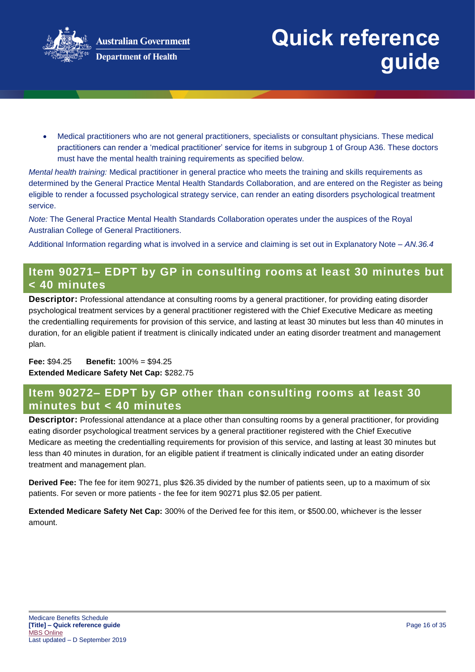

 Medical practitioners who are not general practitioners, specialists or consultant physicians. These medical practitioners can render a 'medical practitioner' service for items in subgroup 1 of Group A36. These doctors must have the mental health training requirements as specified below.

*Mental health training:* Medical practitioner in general practice who meets the training and skills requirements as determined by the General Practice Mental Health Standards Collaboration, and are entered on the Register as being eligible to render a focussed psychological strategy service, can render an eating disorders psychological treatment service.

*Note:* The General Practice Mental Health Standards Collaboration operates under the auspices of the Royal Australian College of General Practitioners.

Additional Information regarding what is involved in a service and claiming is set out in Explanatory Note – *AN.36.4*

### **Item 90271– EDPT by GP in consulting rooms at least 30 minutes but < 40 minutes**

**Descriptor:** Professional attendance at consulting rooms by a general practitioner, for providing eating disorder psychological treatment services by a general practitioner registered with the Chief Executive Medicare as meeting the credentialling requirements for provision of this service, and lasting at least 30 minutes but less than 40 minutes in duration, for an eligible patient if treatment is clinically indicated under an eating disorder treatment and management plan.

**Fee:** \$94.25 **Benefit:** 100% = \$94.25 **Extended Medicare Safety Net Cap:** \$282.75

### **Item 90272– EDPT by GP other than consulting rooms at least 30 minutes but < 40 minutes**

**Descriptor:** Professional attendance at a place other than consulting rooms by a general practitioner, for providing eating disorder psychological treatment services by a general practitioner registered with the Chief Executive Medicare as meeting the credentialling requirements for provision of this service, and lasting at least 30 minutes but less than 40 minutes in duration, for an eligible patient if treatment is clinically indicated under an eating disorder treatment and management plan.

**Derived Fee:** The fee for item 90271, plus \$26.35 divided by the number of patients seen, up to a maximum of six patients. For seven or more patients - the fee for item 90271 plus \$2.05 per patient.

**Extended Medicare Safety Net Cap:** 300% of the Derived fee for this item, or \$500.00, whichever is the lesser amount.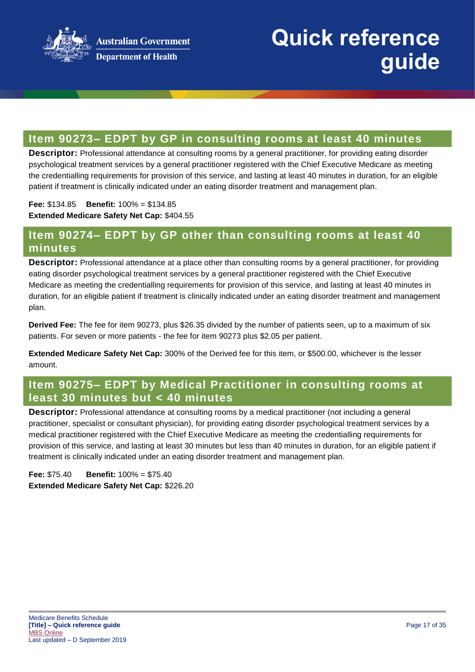

### **Item 90273– EDPT by GP in consulting rooms at least 40 minutes**

**Descriptor:** Professional attendance at consulting rooms by a general practitioner, for providing eating disorder psychological treatment services by a general practitioner registered with the Chief Executive Medicare as meeting the credentialling requirements for provision of this service, and lasting at least 40 minutes in duration, for an eligible patient if treatment is clinically indicated under an eating disorder treatment and management plan.

**Fee:** \$134.85 **Benefit:** 100% = \$134.85

**Extended Medicare Safety Net Cap:** \$404.55

### **Item 90274– EDPT by GP other than consulting rooms at least 40 minutes**

**Descriptor:** Professional attendance at a place other than consulting rooms by a general practitioner, for providing eating disorder psychological treatment services by a general practitioner registered with the Chief Executive Medicare as meeting the credentialling requirements for provision of this service, and lasting at least 40 minutes in duration, for an eligible patient if treatment is clinically indicated under an eating disorder treatment and management plan.

**Derived Fee:** The fee for item 90273, plus \$26.35 divided by the number of patients seen, up to a maximum of six patients. For seven or more patients - the fee for item 90273 plus \$2.05 per patient.

**Extended Medicare Safety Net Cap:** 300% of the Derived fee for this item, or \$500.00, whichever is the lesser amount.

### **Item 90275– EDPT by Medical Practitioner in consulting rooms at least 30 minutes but < 40 minutes**

**Descriptor:** Professional attendance at consulting rooms by a medical practitioner (not including a general practitioner, specialist or consultant physician), for providing eating disorder psychological treatment services by a medical practitioner registered with the Chief Executive Medicare as meeting the credentialling requirements for provision of this service, and lasting at least 30 minutes but less than 40 minutes in duration, for an eligible patient if treatment is clinically indicated under an eating disorder treatment and management plan.

**Fee:** \$75.40 **Benefit:** 100% = \$75.40 **Extended Medicare Safety Net Cap:** \$226.20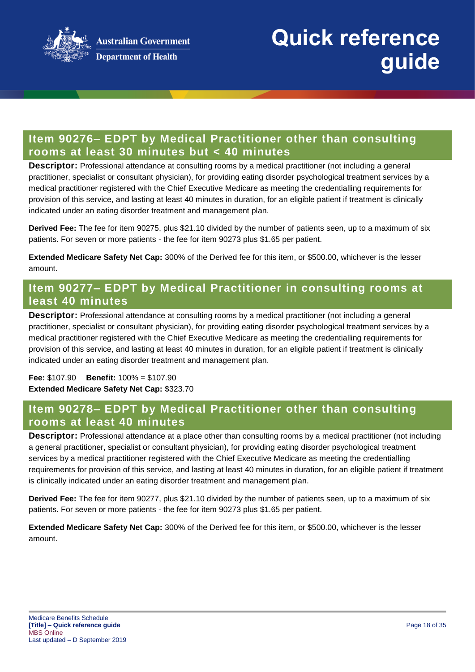

## **Item 90276– EDPT by Medical Practitioner other than consulting rooms at least 30 minutes but < 40 minutes**

**Descriptor:** Professional attendance at consulting rooms by a medical practitioner (not including a general practitioner, specialist or consultant physician), for providing eating disorder psychological treatment services by a medical practitioner registered with the Chief Executive Medicare as meeting the credentialling requirements for provision of this service, and lasting at least 40 minutes in duration, for an eligible patient if treatment is clinically indicated under an eating disorder treatment and management plan.

**Derived Fee:** The fee for item 90275, plus \$21.10 divided by the number of patients seen, up to a maximum of six patients. For seven or more patients - the fee for item 90273 plus \$1.65 per patient.

**Extended Medicare Safety Net Cap:** 300% of the Derived fee for this item, or \$500.00, whichever is the lesser amount.

### **Item 90277– EDPT by Medical Practitioner in consulting rooms at least 40 minutes**

**Descriptor:** Professional attendance at consulting rooms by a medical practitioner (not including a general practitioner, specialist or consultant physician), for providing eating disorder psychological treatment services by a medical practitioner registered with the Chief Executive Medicare as meeting the credentialling requirements for provision of this service, and lasting at least 40 minutes in duration, for an eligible patient if treatment is clinically indicated under an eating disorder treatment and management plan.

**Fee:** \$107.90 **Benefit:** 100% = \$107.90 **Extended Medicare Safety Net Cap:** \$323.70

### **Item 90278– EDPT by Medical Practitioner other than consulting rooms at least 40 minutes**

**Descriptor:** Professional attendance at a place other than consulting rooms by a medical practitioner (not including a general practitioner, specialist or consultant physician), for providing eating disorder psychological treatment services by a medical practitioner registered with the Chief Executive Medicare as meeting the credentialling requirements for provision of this service, and lasting at least 40 minutes in duration, for an eligible patient if treatment is clinically indicated under an eating disorder treatment and management plan.

**Derived Fee:** The fee for item 90277, plus \$21.10 divided by the number of patients seen, up to a maximum of six patients. For seven or more patients - the fee for item 90273 plus \$1.65 per patient.

**Extended Medicare Safety Net Cap:** 300% of the Derived fee for this item, or \$500.00, whichever is the lesser amount.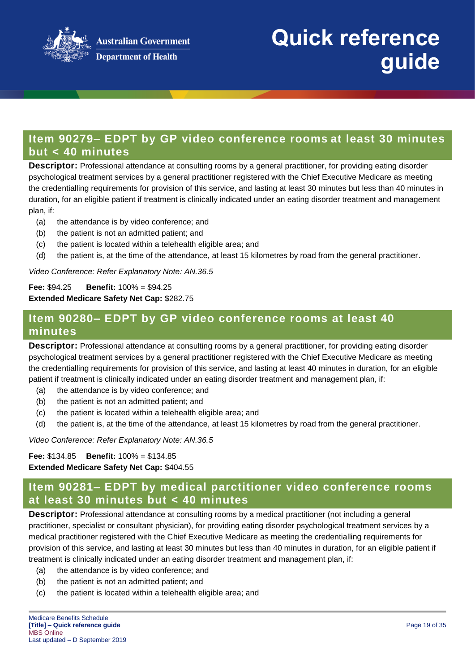

### **Item 90279– EDPT by GP video conference rooms at least 30 minutes but < 40 minutes**

**Descriptor:** Professional attendance at consulting rooms by a general practitioner, for providing eating disorder psychological treatment services by a general practitioner registered with the Chief Executive Medicare as meeting the credentialling requirements for provision of this service, and lasting at least 30 minutes but less than 40 minutes in duration, for an eligible patient if treatment is clinically indicated under an eating disorder treatment and management plan, if:

- (a) the attendance is by video conference; and
- (b) the patient is not an admitted patient; and
- (c) the patient is located within a telehealth eligible area; and
- (d) the patient is, at the time of the attendance, at least 15 kilometres by road from the general practitioner.

*Video Conference: Refer Explanatory Note: AN.36.5*

**Fee:** \$94.25 **Benefit:** 100% = \$94.25 **Extended Medicare Safety Net Cap:** \$282.75

### **Item 90280– EDPT by GP video conference rooms at least 40 minutes**

**Descriptor:** Professional attendance at consulting rooms by a general practitioner, for providing eating disorder psychological treatment services by a general practitioner registered with the Chief Executive Medicare as meeting the credentialling requirements for provision of this service, and lasting at least 40 minutes in duration, for an eligible patient if treatment is clinically indicated under an eating disorder treatment and management plan, if:

- (a) the attendance is by video conference; and
- (b) the patient is not an admitted patient; and
- (c) the patient is located within a telehealth eligible area; and
- (d) the patient is, at the time of the attendance, at least 15 kilometres by road from the general practitioner.

*Video Conference: Refer Explanatory Note: AN.36.5*

#### **Fee:** \$134.85 **Benefit:** 100% = \$134.85

**Extended Medicare Safety Net Cap:** \$404.55

## **Item 90281– EDPT by medical parctitioner video conference rooms at least 30 minutes but < 40 minutes**

**Descriptor:** Professional attendance at consulting rooms by a medical practitioner (not including a general practitioner, specialist or consultant physician), for providing eating disorder psychological treatment services by a medical practitioner registered with the Chief Executive Medicare as meeting the credentialling requirements for provision of this service, and lasting at least 30 minutes but less than 40 minutes in duration, for an eligible patient if treatment is clinically indicated under an eating disorder treatment and management plan, if:

- (a) the attendance is by video conference; and
- (b) the patient is not an admitted patient; and
- (c) the patient is located within a telehealth eligible area; and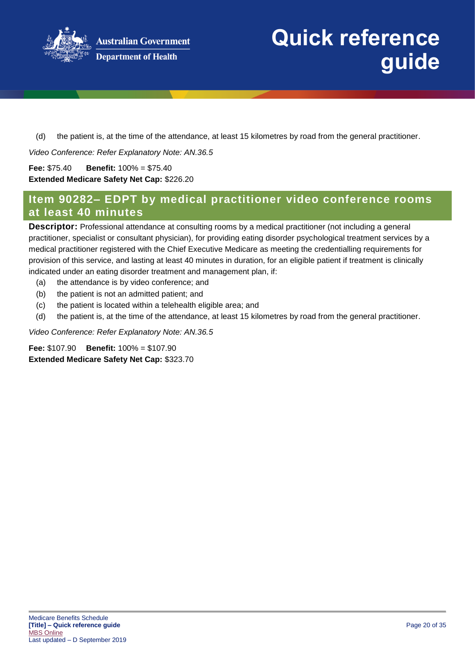

(d) the patient is, at the time of the attendance, at least 15 kilometres by road from the general practitioner.

*Video Conference: Refer Explanatory Note: AN.36.5*

**Fee:** \$75.40 **Benefit:** 100% = \$75.40 **Extended Medicare Safety Net Cap:** \$226.20

### **Item 90282– EDPT by medical practitioner video conference rooms at least 40 minutes**

**Descriptor:** Professional attendance at consulting rooms by a medical practitioner (not including a general practitioner, specialist or consultant physician), for providing eating disorder psychological treatment services by a medical practitioner registered with the Chief Executive Medicare as meeting the credentialling requirements for provision of this service, and lasting at least 40 minutes in duration, for an eligible patient if treatment is clinically indicated under an eating disorder treatment and management plan, if:

- (a) the attendance is by video conference; and
- (b) the patient is not an admitted patient; and
- (c) the patient is located within a telehealth eligible area; and
- (d) the patient is, at the time of the attendance, at least 15 kilometres by road from the general practitioner.

*Video Conference: Refer Explanatory Note: AN.36.5*

**Fee:** \$107.90 **Benefit:** 100% = \$107.90 **Extended Medicare Safety Net Cap:** \$323.70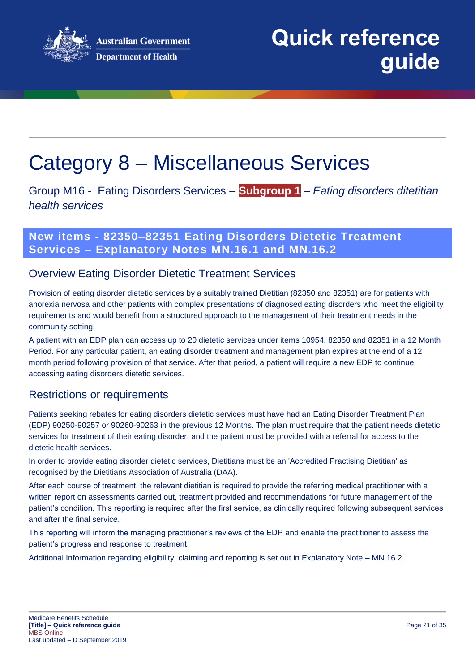

# <span id="page-20-0"></span>Category 8 – Miscellaneous Services

Group M16 - Eating Disorders Services – **Subgroup 1** – *Eating disorders ditetitian health services*

### **New items - 82350–82351 Eating Disorders Dietetic Treatment Services – Explanatory Notes MN.16.1 and MN.16.2**

### Overview Eating Disorder Dietetic Treatment Services

Provision of eating disorder dietetic services by a suitably trained Dietitian (82350 and 82351) are for patients with anorexia nervosa and other patients with complex presentations of diagnosed eating disorders who meet the eligibility requirements and would benefit from a structured approach to the management of their treatment needs in the community setting.

A patient with an EDP plan can access up to 20 dietetic services under items 10954, 82350 and 82351 in a 12 Month Period. For any particular patient, an eating disorder treatment and management plan expires at the end of a 12 month period following provision of that service. After that period, a patient will require a new EDP to continue accessing eating disorders dietetic services.

### Restrictions or requirements

Patients seeking rebates for eating disorders dietetic services must have had an Eating Disorder Treatment Plan (EDP) 90250-90257 or 90260-90263 in the previous 12 Months. The plan must require that the patient needs dietetic services for treatment of their eating disorder, and the patient must be provided with a referral for access to the dietetic health services.

In order to provide eating disorder dietetic services, Dietitians must be an 'Accredited Practising Dietitian' as recognised by the Dietitians Association of Australia (DAA).

After each course of treatment, the relevant dietitian is required to provide the referring medical practitioner with a written report on assessments carried out, treatment provided and recommendations for future management of the patient's condition. This reporting is required after the first service, as clinically required following subsequent services and after the final service.

This reporting will inform the managing practitioner's reviews of the EDP and enable the practitioner to assess the patient's progress and response to treatment.

Additional Information regarding eligibility, claiming and reporting is set out in Explanatory Note – MN.16.2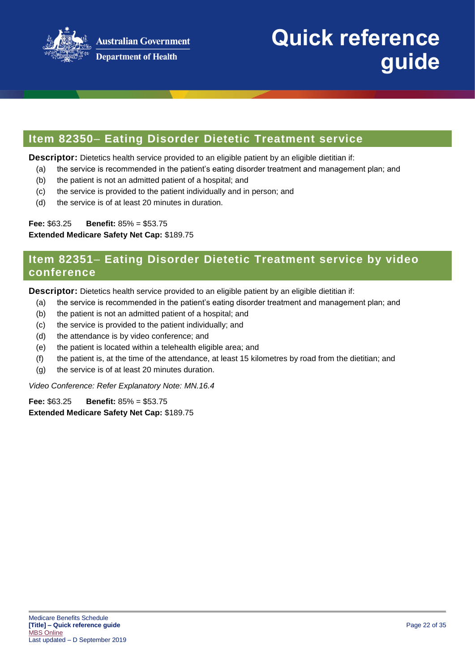

### **Item 82350**– **Eating Disorder Dietetic Treatment service**

**Descriptor:** Dietetics health service provided to an eligible patient by an eligible dietitian if:

- (a) the service is recommended in the patient's eating disorder treatment and management plan; and
- (b) the patient is not an admitted patient of a hospital; and
- (c) the service is provided to the patient individually and in person; and
- (d) the service is of at least 20 minutes in duration.

**Fee:** \$63.25 **Benefit:** 85% = \$53.75

**Extended Medicare Safety Net Cap:** \$189.75

### **Item 82351**– **Eating Disorder Dietetic Treatment service by video conference**

**Descriptor:** Dietetics health service provided to an eligible patient by an eligible dietitian if:

- (a) the service is recommended in the patient's eating disorder treatment and management plan; and
- (b) the patient is not an admitted patient of a hospital; and
- (c) the service is provided to the patient individually; and
- (d) the attendance is by video conference; and
- (e) the patient is located within a telehealth eligible area; and
- (f) the patient is, at the time of the attendance, at least 15 kilometres by road from the dietitian; and
- (g) the service is of at least 20 minutes duration.

*Video Conference: Refer Explanatory Note: MN.16.4*

**Fee:** \$63.25 **Benefit:** 85% = \$53.75 **Extended Medicare Safety Net Cap:** \$189.75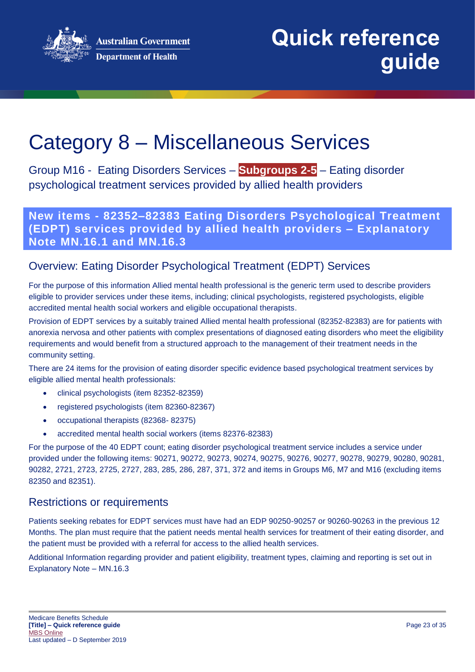

# Category 8 – Miscellaneous Services

Group M16 - Eating Disorders Services – **Subgroups 2-5** – Eating disorder psychological treatment services provided by allied health providers

**New items - 82352–82383 Eating Disorders Psychological Treatment (EDPT) services provided by allied health providers – Explanatory Note MN.16.1 and MN.16.3**

## Overview: Eating Disorder Psychological Treatment (EDPT) Services

For the purpose of this information Allied mental health professional is the generic term used to describe providers eligible to provider services under these items, including; clinical psychologists, registered psychologists, eligible accredited mental health social workers and eligible occupational therapists.

Provision of EDPT services by a suitably trained Allied mental health professional (82352-82383) are for patients with anorexia nervosa and other patients with complex presentations of diagnosed eating disorders who meet the eligibility requirements and would benefit from a structured approach to the management of their treatment needs in the community setting.

There are 24 items for the provision of eating disorder specific evidence based psychological treatment services by eligible allied mental health professionals:

- clinical psychologists (item 82352-82359)
- registered psychologists (item 82360-82367)
- occupational therapists (82368- 82375)
- accredited mental health social workers (items 82376-82383)

For the purpose of the 40 EDPT count; eating disorder psychological treatment service includes a service under provided under the following items: 90271, 90272, 90273, 90274, 90275, 90276, 90277, 90278, 90279, 90280, 90281, 90282, 2721, 2723, 2725, 2727, 283, 285, 286, 287, 371, 372 and items in Groups M6, M7 and M16 (excluding items 82350 and 82351).

### Restrictions or requirements

Patients seeking rebates for EDPT services must have had an EDP 90250-90257 or 90260-90263 in the previous 12 Months. The plan must require that the patient needs mental health services for treatment of their eating disorder, and the patient must be provided with a referral for access to the allied health services.

Additional Information regarding provider and patient eligibility, treatment types, claiming and reporting is set out in Explanatory Note – MN.16.3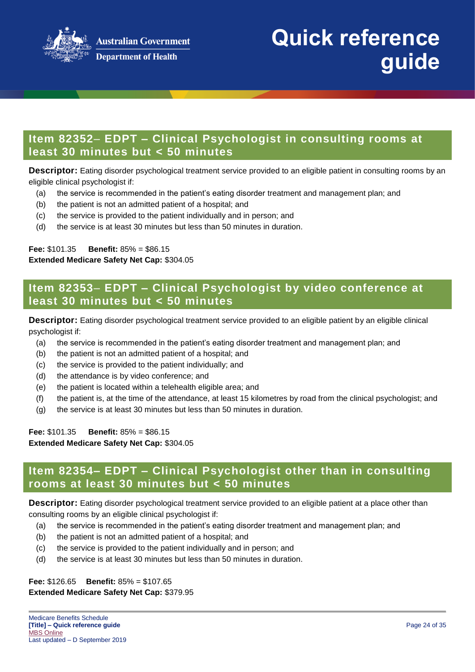

## **Item 82352**– **EDPT – Clinical Psychologist in consulting rooms at least 30 minutes but < 50 minutes**

**Descriptor:** Eating disorder psychological treatment service provided to an eligible patient in consulting rooms by an eligible clinical psychologist if:

- (a) the service is recommended in the patient's eating disorder treatment and management plan; and
- (b) the patient is not an admitted patient of a hospital; and
- (c) the service is provided to the patient individually and in person; and
- (d) the service is at least 30 minutes but less than 50 minutes in duration.

#### **Fee:** \$101.35 **Benefit:** 85% = \$86.15 **Extended Medicare Safety Net Cap:** \$304.05

### **Item 82353**– **EDPT – Clinical Psychologist by video conference at least 30 minutes but < 50 minutes**

**Descriptor:** Eating disorder psychological treatment service provided to an eligible patient by an eligible clinical psychologist if:

- (a) the service is recommended in the patient's eating disorder treatment and management plan; and
- (b) the patient is not an admitted patient of a hospital; and
- (c) the service is provided to the patient individually; and
- (d) the attendance is by video conference; and
- (e) the patient is located within a telehealth eligible area; and
- (f) the patient is, at the time of the attendance, at least 15 kilometres by road from the clinical psychologist; and
- (g) the service is at least 30 minutes but less than 50 minutes in duration.

**Fee:** \$101.35 **Benefit:** 85% = \$86.15 **Extended Medicare Safety Net Cap:** \$304.05

### **Item 82354– EDPT – Clinical Psychologist other than in consulting rooms at least 30 minutes but < 50 minutes**

**Descriptor:** Eating disorder psychological treatment service provided to an eligible patient at a place other than consulting rooms by an eligible clinical psychologist if:

- (a) the service is recommended in the patient's eating disorder treatment and management plan; and
- (b) the patient is not an admitted patient of a hospital; and
- (c) the service is provided to the patient individually and in person; and
- (d) the service is at least 30 minutes but less than 50 minutes in duration.

#### **Fee:** \$126.65 **Benefit:** 85% = \$107.65 **Extended Medicare Safety Net Cap:** \$379.95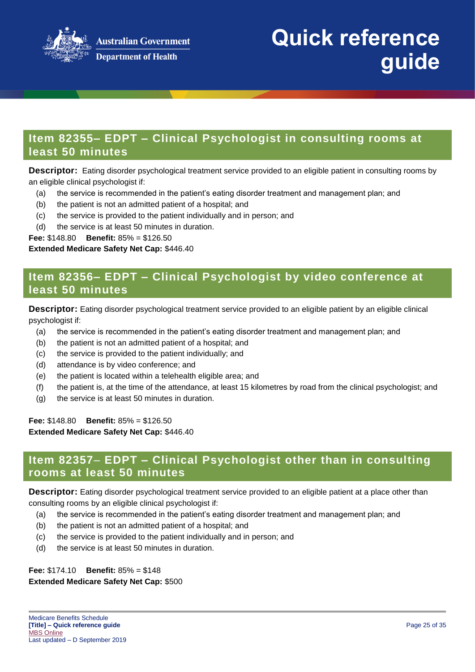

## **Item 82355– EDPT – Clinical Psychologist in consulting rooms at least 50 minutes**

**Descriptor:** Eating disorder psychological treatment service provided to an eligible patient in consulting rooms by an eligible clinical psychologist if:

- (a) the service is recommended in the patient's eating disorder treatment and management plan; and
- (b) the patient is not an admitted patient of a hospital; and
- (c) the service is provided to the patient individually and in person; and
- (d) the service is at least 50 minutes in duration.

**Fee:** \$148.80 **Benefit:** 85% = \$126.50

#### **Extended Medicare Safety Net Cap:** \$446.40

### **Item 82356– EDPT – Clinical Psychologist by video conference at least 50 minutes**

**Descriptor:** Eating disorder psychological treatment service provided to an eligible patient by an eligible clinical psychologist if:

- (a) the service is recommended in the patient's eating disorder treatment and management plan; and
- (b) the patient is not an admitted patient of a hospital; and
- (c) the service is provided to the patient individually; and
- (d) attendance is by video conference; and
- (e) the patient is located within a telehealth eligible area; and
- (f) the patient is, at the time of the attendance, at least 15 kilometres by road from the clinical psychologist; and
- (g) the service is at least 50 minutes in duration.

**Fee:** \$148.80 **Benefit:** 85% = \$126.50 **Extended Medicare Safety Net Cap:** \$446.40

### **Item 82357**– **EDPT – Clinical Psychologist other than in consulting rooms at least 50 minutes**

**Descriptor:** Eating disorder psychological treatment service provided to an eligible patient at a place other than consulting rooms by an eligible clinical psychologist if:

- (a) the service is recommended in the patient's eating disorder treatment and management plan; and
- (b) the patient is not an admitted patient of a hospital; and
- (c) the service is provided to the patient individually and in person; and
- (d) the service is at least 50 minutes in duration.

**Fee:** \$174.10 **Benefit:** 85% = \$148 **Extended Medicare Safety Net Cap:** \$500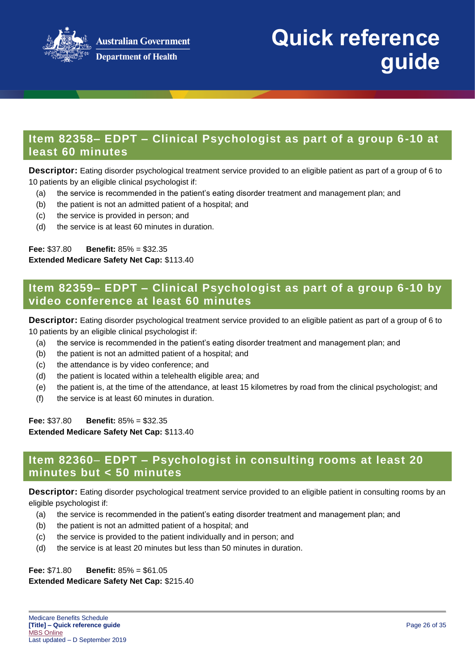

## **Item 82358– EDPT – Clinical Psychologist as part of a group 6-10 at least 60 minutes**

**Descriptor:** Eating disorder psychological treatment service provided to an eligible patient as part of a group of 6 to 10 patients by an eligible clinical psychologist if:

- (a) the service is recommended in the patient's eating disorder treatment and management plan; and
- (b) the patient is not an admitted patient of a hospital; and
- (c) the service is provided in person; and
- (d) the service is at least 60 minutes in duration.

**Fee:** \$37.80 **Benefit:** 85% = \$32.35 **Extended Medicare Safety Net Cap:** \$113.40

### **Item 82359– EDPT – Clinical Psychologist as part of a group 6-10 by video conference at least 60 minutes**

**Descriptor:** Eating disorder psychological treatment service provided to an eligible patient as part of a group of 6 to 10 patients by an eligible clinical psychologist if:

- (a) the service is recommended in the patient's eating disorder treatment and management plan; and
- (b) the patient is not an admitted patient of a hospital; and
- (c) the attendance is by video conference; and
- (d) the patient is located within a telehealth eligible area; and
- (e) the patient is, at the time of the attendance, at least 15 kilometres by road from the clinical psychologist; and
- (f) the service is at least 60 minutes in duration.

**Fee:** \$37.80 **Benefit:** 85% = \$32.35

**Extended Medicare Safety Net Cap:** \$113.40

### **Item 82360**– **EDPT – Psychologist in consulting rooms at least 20 minutes but < 50 minutes**

**Descriptor:** Eating disorder psychological treatment service provided to an eligible patient in consulting rooms by an eligible psychologist if:

- (a) the service is recommended in the patient's eating disorder treatment and management plan; and
- (b) the patient is not an admitted patient of a hospital; and
- (c) the service is provided to the patient individually and in person; and
- (d) the service is at least 20 minutes but less than 50 minutes in duration.

**Fee:** \$71.80 **Benefit:** 85% = \$61.05 **Extended Medicare Safety Net Cap:** \$215.40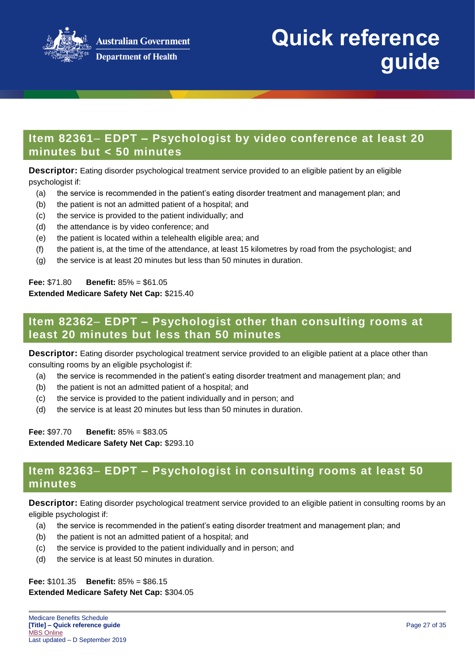

## **Item 82361**– **EDPT – Psychologist by video conference at least 20 minutes but < 50 minutes**

**Descriptor:** Eating disorder psychological treatment service provided to an eligible patient by an eligible psychologist if:

- (a) the service is recommended in the patient's eating disorder treatment and management plan; and
- (b) the patient is not an admitted patient of a hospital; and
- (c) the service is provided to the patient individually; and
- (d) the attendance is by video conference; and
- (e) the patient is located within a telehealth eligible area; and
- (f) the patient is, at the time of the attendance, at least 15 kilometres by road from the psychologist; and
- (g) the service is at least 20 minutes but less than 50 minutes in duration.

**Fee:** \$71.80 **Benefit:** 85% = \$61.05 **Extended Medicare Safety Net Cap:** \$215.40

### **Item 82362**– **EDPT – Psychologist other than consulting rooms at least 20 minutes but less than 50 minutes**

**Descriptor:** Eating disorder psychological treatment service provided to an eligible patient at a place other than consulting rooms by an eligible psychologist if:

- (a) the service is recommended in the patient's eating disorder treatment and management plan; and
- (b) the patient is not an admitted patient of a hospital; and
- (c) the service is provided to the patient individually and in person; and
- (d) the service is at least 20 minutes but less than 50 minutes in duration.

**Fee:** \$97.70 **Benefit:** 85% = \$83.05 **Extended Medicare Safety Net Cap:** \$293.10

### **Item 82363**– **EDPT – Psychologist in consulting rooms at least 50 minutes**

**Descriptor:** Eating disorder psychological treatment service provided to an eligible patient in consulting rooms by an eligible psychologist if:

- (a) the service is recommended in the patient's eating disorder treatment and management plan; and
- (b) the patient is not an admitted patient of a hospital; and
- (c) the service is provided to the patient individually and in person; and
- (d) the service is at least 50 minutes in duration.

**Fee:** \$101.35 **Benefit:** 85% = \$86.15 **Extended Medicare Safety Net Cap:** \$304.05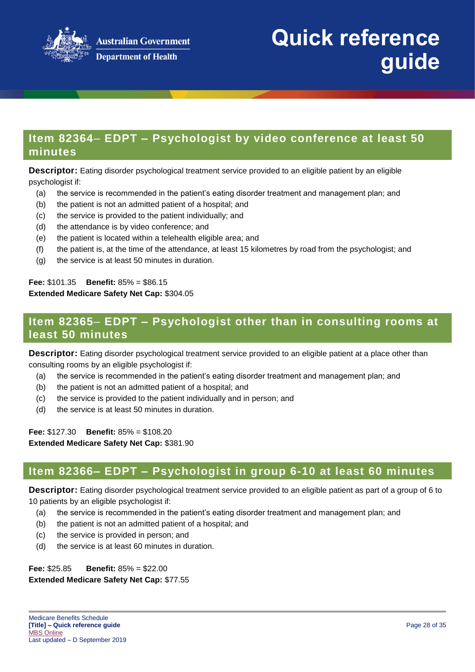

## **Item 82364**– **EDPT – Psychologist by video conference at least 50 minutes**

**Descriptor:** Eating disorder psychological treatment service provided to an eligible patient by an eligible psychologist if:

- (a) the service is recommended in the patient's eating disorder treatment and management plan; and
- (b) the patient is not an admitted patient of a hospital; and
- (c) the service is provided to the patient individually; and
- (d) the attendance is by video conference; and
- (e) the patient is located within a telehealth eligible area; and
- (f) the patient is, at the time of the attendance, at least 15 kilometres by road from the psychologist; and
- (g) the service is at least 50 minutes in duration.

**Fee:** \$101.35 **Benefit:** 85% = \$86.15 **Extended Medicare Safety Net Cap:** \$304.05

# **Item 82365**– **EDPT – Psychologist other than in consulting rooms at least 50 minutes**

**Descriptor:** Eating disorder psychological treatment service provided to an eligible patient at a place other than consulting rooms by an eligible psychologist if:

- (a) the service is recommended in the patient's eating disorder treatment and management plan; and
- (b) the patient is not an admitted patient of a hospital; and
- (c) the service is provided to the patient individually and in person; and
- (d) the service is at least 50 minutes in duration.

**Fee:** \$127.30 **Benefit:** 85% = \$108.20 **Extended Medicare Safety Net Cap:** \$381.90

### **Item 82366– EDPT – Psychologist in group 6-10 at least 60 minutes**

**Descriptor:** Eating disorder psychological treatment service provided to an eligible patient as part of a group of 6 to 10 patients by an eligible psychologist if:

- (a) the service is recommended in the patient's eating disorder treatment and management plan; and
- (b) the patient is not an admitted patient of a hospital; and
- (c) the service is provided in person; and
- (d) the service is at least 60 minutes in duration.

**Fee:** \$25.85 **Benefit:** 85% = \$22.00 **Extended Medicare Safety Net Cap:** \$77.55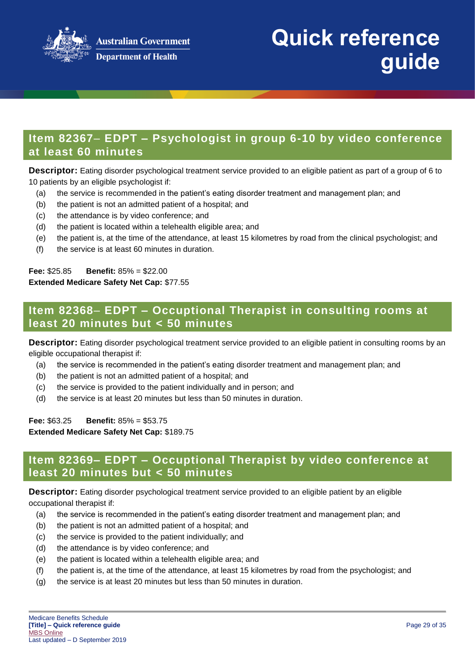

## **Item 82367**– **EDPT – Psychologist in group 6-10 by video conference at least 60 minutes**

**Descriptor:** Eating disorder psychological treatment service provided to an eligible patient as part of a group of 6 to 10 patients by an eligible psychologist if:

- (a) the service is recommended in the patient's eating disorder treatment and management plan; and
- (b) the patient is not an admitted patient of a hospital; and
- (c) the attendance is by video conference; and
- (d) the patient is located within a telehealth eligible area; and
- (e) the patient is, at the time of the attendance, at least 15 kilometres by road from the clinical psychologist; and
- (f) the service is at least 60 minutes in duration.

**Fee:** \$25.85 **Benefit:** 85% = \$22.00 **Extended Medicare Safety Net Cap:** \$77.55

### **Item 82368**– **EDPT – Occuptional Therapist in consulting rooms at least 20 minutes but < 50 minutes**

**Descriptor:** Eating disorder psychological treatment service provided to an eligible patient in consulting rooms by an eligible occupational therapist if:

- (a) the service is recommended in the patient's eating disorder treatment and management plan; and
- (b) the patient is not an admitted patient of a hospital; and
- (c) the service is provided to the patient individually and in person; and
- (d) the service is at least 20 minutes but less than 50 minutes in duration.

**Fee:** \$63.25 **Benefit:** 85% = \$53.75

**Extended Medicare Safety Net Cap:** \$189.75

### **Item 82369– EDPT – Occuptional Therapist by video conference at least 20 minutes but < 50 minutes**

**Descriptor:** Eating disorder psychological treatment service provided to an eligible patient by an eligible occupational therapist if:

- (a) the service is recommended in the patient's eating disorder treatment and management plan; and
- (b) the patient is not an admitted patient of a hospital; and
- (c) the service is provided to the patient individually; and
- (d) the attendance is by video conference; and
- (e) the patient is located within a telehealth eligible area; and
- (f) the patient is, at the time of the attendance, at least 15 kilometres by road from the psychologist; and
- (g) the service is at least 20 minutes but less than 50 minutes in duration.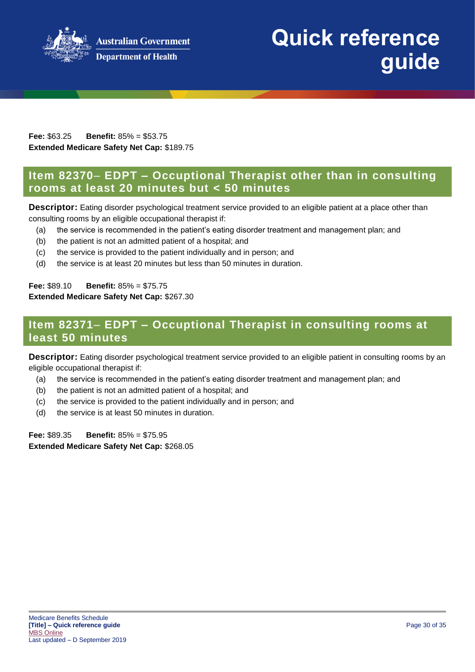

**Australian Government Department of Health** 

#### **Fee:** \$63.25 **Benefit:** 85% = \$53.75 **Extended Medicare Safety Net Cap:** \$189.75

### **Item 82370**– **EDPT – Occuptional Therapist other than in consulting rooms at least 20 minutes but < 50 minutes**

**Descriptor:** Eating disorder psychological treatment service provided to an eligible patient at a place other than consulting rooms by an eligible occupational therapist if:

- (a) the service is recommended in the patient's eating disorder treatment and management plan; and
- (b) the patient is not an admitted patient of a hospital; and
- (c) the service is provided to the patient individually and in person; and
- (d) the service is at least 20 minutes but less than 50 minutes in duration.

#### **Fee:** \$89.10 **Benefit:** 85% = \$75.75

#### **Extended Medicare Safety Net Cap:** \$267.30

### **Item 82371**– **EDPT – Occuptional Therapist in consulting rooms at least 50 minutes**

**Descriptor:** Eating disorder psychological treatment service provided to an eligible patient in consulting rooms by an eligible occupational therapist if:

- (a) the service is recommended in the patient's eating disorder treatment and management plan; and
- (b) the patient is not an admitted patient of a hospital; and
- (c) the service is provided to the patient individually and in person; and
- (d) the service is at least 50 minutes in duration.

**Fee:** \$89.35 **Benefit:** 85% = \$75.95 **Extended Medicare Safety Net Cap:** \$268.05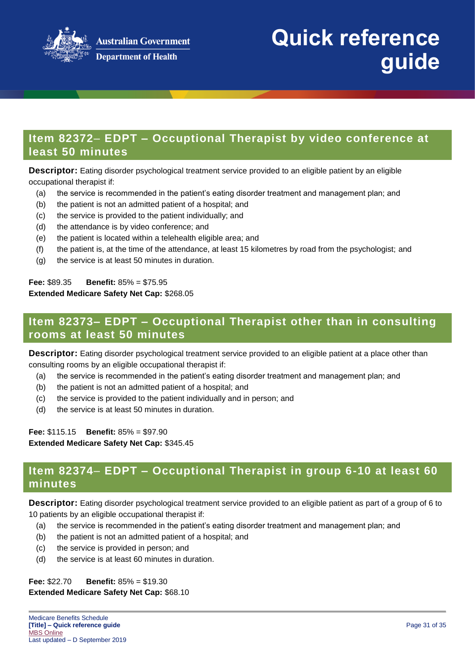

## **Item 82372**– **EDPT – Occuptional Therapist by video conference at least 50 minutes**

**Descriptor:** Eating disorder psychological treatment service provided to an eligible patient by an eligible occupational therapist if:

- (a) the service is recommended in the patient's eating disorder treatment and management plan; and
- (b) the patient is not an admitted patient of a hospital; and
- (c) the service is provided to the patient individually; and
- (d) the attendance is by video conference; and
- (e) the patient is located within a telehealth eligible area; and
- (f) the patient is, at the time of the attendance, at least 15 kilometres by road from the psychologist; and
- (g) the service is at least 50 minutes in duration.

#### **Fee:** \$89.35 **Benefit:** 85% = \$75.95 **Extended Medicare Safety Net Cap:** \$268.05

## **Item 82373– EDPT – Occuptional Therapist other than in consulting rooms at least 50 minutes**

**Descriptor:** Eating disorder psychological treatment service provided to an eligible patient at a place other than consulting rooms by an eligible occupational therapist if:

- (a) the service is recommended in the patient's eating disorder treatment and management plan; and
- (b) the patient is not an admitted patient of a hospital; and
- (c) the service is provided to the patient individually and in person; and
- (d) the service is at least 50 minutes in duration.

**Fee:** \$115.15 **Benefit:** 85% = \$97.90 **Extended Medicare Safety Net Cap:** \$345.45

## **Item 82374**– **EDPT – Occuptional Therapist in group 6-10 at least 60 minutes**

**Descriptor:** Eating disorder psychological treatment service provided to an eligible patient as part of a group of 6 to 10 patients by an eligible occupational therapist if:

- (a) the service is recommended in the patient's eating disorder treatment and management plan; and
- (b) the patient is not an admitted patient of a hospital; and
- (c) the service is provided in person; and
- (d) the service is at least 60 minutes in duration.

**Fee:** \$22.70 **Benefit:** 85% = \$19.30

#### **Extended Medicare Safety Net Cap:** \$68.10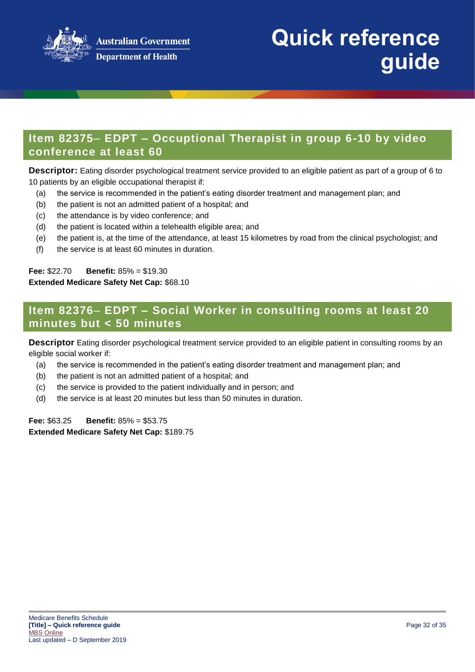

## **Item 82375**– **EDPT – Occuptional Therapist in group 6-10 by video conference at least 60**

**Descriptor:** Eating disorder psychological treatment service provided to an eligible patient as part of a group of 6 to 10 patients by an eligible occupational therapist if:

- (a) the service is recommended in the patient's eating disorder treatment and management plan; and
- (b) the patient is not an admitted patient of a hospital; and
- (c) the attendance is by video conference; and
- (d) the patient is located within a telehealth eligible area; and
- (e) the patient is, at the time of the attendance, at least 15 kilometres by road from the clinical psychologist; and
- (f) the service is at least 60 minutes in duration.

**Fee:** \$22.70 **Benefit:** 85% = \$19.30 **Extended Medicare Safety Net Cap:** \$68.10

## **Item 82376**– **EDPT – Social Worker in consulting rooms at least 20 minutes but < 50 minutes**

**Descriptor** Eating disorder psychological treatment service provided to an eligible patient in consulting rooms by an eligible social worker if:

- (a) the service is recommended in the patient's eating disorder treatment and management plan; and
- (b) the patient is not an admitted patient of a hospital; and
- (c) the service is provided to the patient individually and in person; and
- (d) the service is at least 20 minutes but less than 50 minutes in duration.

**Fee:** \$63.25 **Benefit:** 85% = \$53.75 **Extended Medicare Safety Net Cap:** \$189.75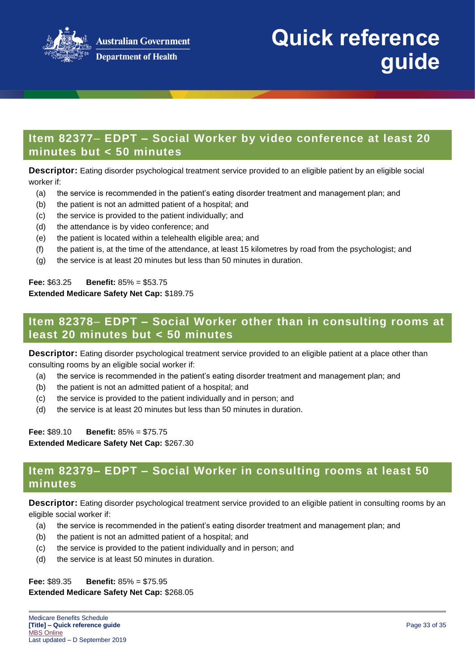

## **Item 82377**– **EDPT – Social Worker by video conference at least 20 minutes but < 50 minutes**

**Descriptor:** Eating disorder psychological treatment service provided to an eligible patient by an eligible social worker if:

- (a) the service is recommended in the patient's eating disorder treatment and management plan; and
- (b) the patient is not an admitted patient of a hospital; and
- (c) the service is provided to the patient individually; and
- (d) the attendance is by video conference; and
- (e) the patient is located within a telehealth eligible area; and
- (f) the patient is, at the time of the attendance, at least 15 kilometres by road from the psychologist; and
- (g) the service is at least 20 minutes but less than 50 minutes in duration.

#### **Fee:** \$63.25 **Benefit:** 85% = \$53.75 **Extended Medicare Safety Net Cap:** \$189.75

## **Item 82378**– **EDPT – Social Worker other than in consulting rooms at least 20 minutes but < 50 minutes**

**Descriptor:** Eating disorder psychological treatment service provided to an eligible patient at a place other than consulting rooms by an eligible social worker if:

- (a) the service is recommended in the patient's eating disorder treatment and management plan; and
- (b) the patient is not an admitted patient of a hospital; and
- (c) the service is provided to the patient individually and in person; and
- (d) the service is at least 20 minutes but less than 50 minutes in duration.

**Fee:** \$89.10 **Benefit:** 85% = \$75.75 **Extended Medicare Safety Net Cap:** \$267.30

### **Item 82379– EDPT – Social Worker in consulting rooms at least 50 minutes**

**Descriptor:** Eating disorder psychological treatment service provided to an eligible patient in consulting rooms by an eligible social worker if:

- (a) the service is recommended in the patient's eating disorder treatment and management plan; and
- (b) the patient is not an admitted patient of a hospital; and
- (c) the service is provided to the patient individually and in person; and
- (d) the service is at least 50 minutes in duration.

**Fee:** \$89.35 **Benefit:** 85% = \$75.95

#### **Extended Medicare Safety Net Cap:** \$268.05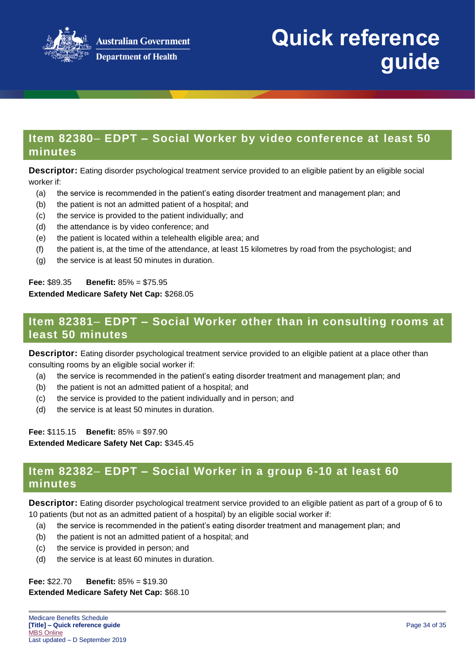

### **Item 82380**– **EDPT – Social Worker by video conference at least 50 minutes**

**Descriptor:** Eating disorder psychological treatment service provided to an eligible patient by an eligible social worker if:

- (a) the service is recommended in the patient's eating disorder treatment and management plan; and
- (b) the patient is not an admitted patient of a hospital; and
- (c) the service is provided to the patient individually; and
- (d) the attendance is by video conference; and
- (e) the patient is located within a telehealth eligible area; and
- (f) the patient is, at the time of the attendance, at least 15 kilometres by road from the psychologist; and
- (g) the service is at least 50 minutes in duration.

#### **Fee:** \$89.35 **Benefit:** 85% = \$75.95 **Extended Medicare Safety Net Cap:** \$268.05

## **Item 82381**– **EDPT – Social Worker other than in consulting rooms at least 50 minutes**

**Descriptor:** Eating disorder psychological treatment service provided to an eligible patient at a place other than consulting rooms by an eligible social worker if:

- (a) the service is recommended in the patient's eating disorder treatment and management plan; and
- (b) the patient is not an admitted patient of a hospital; and
- (c) the service is provided to the patient individually and in person; and
- (d) the service is at least 50 minutes in duration.

**Fee:** \$115.15 **Benefit:** 85% = \$97.90 **Extended Medicare Safety Net Cap:** \$345.45

### **Item 82382**– **EDPT – Social Worker in a group 6-10 at least 60 minutes**

**Descriptor:** Eating disorder psychological treatment service provided to an eligible patient as part of a group of 6 to 10 patients (but not as an admitted patient of a hospital) by an eligible social worker if:

- (a) the service is recommended in the patient's eating disorder treatment and management plan; and
- (b) the patient is not an admitted patient of a hospital; and
- (c) the service is provided in person; and
- (d) the service is at least 60 minutes in duration.

**Fee:** \$22.70 **Benefit:** 85% = \$19.30

#### **Extended Medicare Safety Net Cap:** \$68.10